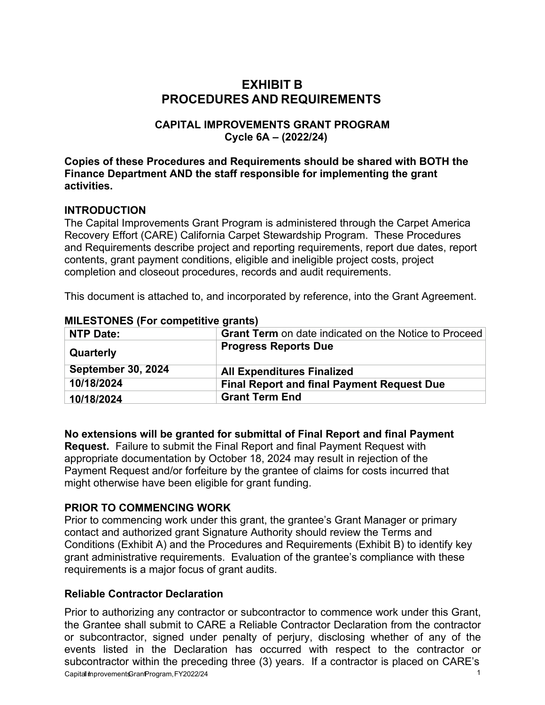# **EXHIBIT B PROCEDURES AND REQUIREMENTS**

### **CAPITAL IMPROVEMENTS GRANT PROGRAM Cycle 6A – (2022/24)**

**Copies of these Procedures and Requirements should be shared with BOTH the Finance Department AND the staff responsible for implementing the grant activities.**

### **INTRODUCTION**

The Capital Improvements Grant Program is administered through the Carpet America Recovery Effort (CARE) California Carpet Stewardship Program. These Procedures and Requirements describe project and reporting requirements, report due dates, report contents, grant payment conditions, eligible and ineligible project costs, project completion and closeout procedures, records and audit requirements.

This document is attached to, and incorporated by reference, into the Grant Agreement.

| NTP Date:                 | Grant Term on date indicated on the Notice to Proceed |
|---------------------------|-------------------------------------------------------|
| Quarterly                 | <b>Progress Reports Due</b>                           |
| <b>September 30, 2024</b> | <b>All Expenditures Finalized</b>                     |
| 10/18/2024                | <b>Final Report and final Payment Request Due</b>     |
| 10/18/2024                | <b>Grant Term End</b>                                 |

#### **MILESTONES (For competitive grants)**

### **No extensions will be granted for submittal of Final Report and final Payment**

**Request.** Failure to submit the Final Report and final Payment Request with appropriate documentation by October 18, 2024 may result in rejection of the Payment Request and/or forfeiture by the grantee of claims for costs incurred that might otherwise have been eligible for grant funding.

### **PRIOR TO COMMENCING WORK**

Prior to commencing work under this grant, the grantee's Grant Manager or primary contact and authorized grant Signature Authority should review the Terms and Conditions (Exhibit A) and the Procedures and Requirements (Exhibit B) to identify key grant administrative requirements. Evaluation of the grantee's compliance with these requirements is a major focus of grant audits.

### **Reliable Contractor Declaration**

Capitall ImprovementsGrant Program, FY 2022/24 1 Prior to authorizing any contractor or subcontractor to commence work under this Grant, the Grantee shall submit to CARE a Reliable Contractor Declaration from the contractor or subcontractor, signed under penalty of perjury, disclosing whether of any of the events listed in the Declaration has occurred with respect to the contractor or subcontractor within the preceding three (3) years. If a contractor is placed on CARE's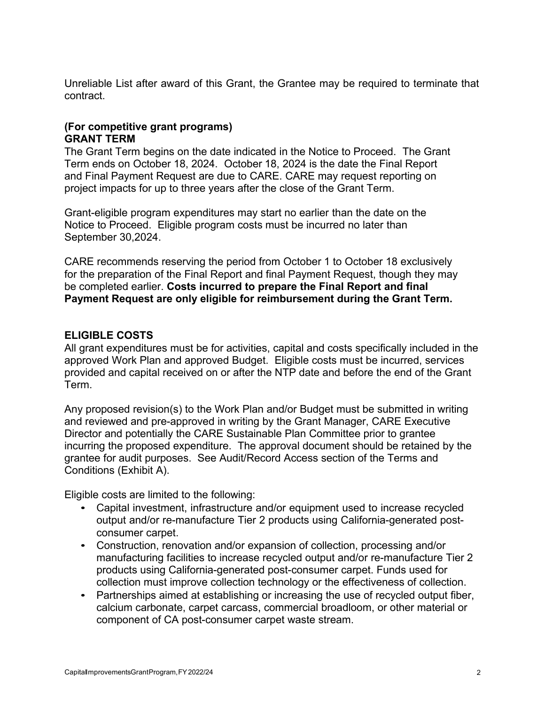Unreliable List after award of this Grant, the Grantee may be required to terminate that contract.

### **(For competitive grant programs) GRANT TERM**

The Grant Term begins on the date indicated in the Notice to Proceed. The Grant Term ends on October 18, 2024. October 18, 2024 is the date the Final Report and Final Payment Request are due to CARE. CARE may request reporting on project impacts for up to three years after the close of the Grant Term.

Grant-eligible program expenditures may start no earlier than the date on the Notice to Proceed. Eligible program costs must be incurred no later than September 30,2024.

CARE recommends reserving the period from October 1 to October 18 exclusively for the preparation of the Final Report and final Payment Request, though they may be completed earlier. **Costs incurred to prepare the Final Report and final Payment Request are only eligible for reimbursement during the Grant Term.**

# **ELIGIBLE COSTS**

All grant expenditures must be for activities, capital and costs specifically included in the approved Work Plan and approved Budget. Eligible costs must be incurred, services provided and capital received on or after the NTP date and before the end of the Grant Term.

Any proposed revision(s) to the Work Plan and/or Budget must be submitted in writing and reviewed and pre-approved in writing by the Grant Manager, CARE Executive Director and potentially the CARE Sustainable Plan Committee prior to grantee incurring the proposed expenditure. The approval document should be retained by the grantee for audit purposes. See Audit/Record Access section of the Terms and Conditions (Exhibit A).

Eligible costs are limited to the following:

- Capital investment, infrastructure and/or equipment used to increase recycled output and/or re-manufacture Tier 2 products using California-generated postconsumer carpet.
- Construction, renovation and/or expansion of collection, processing and/or manufacturing facilities to increase recycled output and/or re-manufacture Tier 2 products using California-generated post-consumer carpet. Funds used for collection must improve collection technology or the effectiveness of collection.
- Partnerships aimed at establishing or increasing the use of recycled output fiber, calcium carbonate, carpet carcass, commercial broadloom, or other material or component of CA post-consumer carpet waste stream.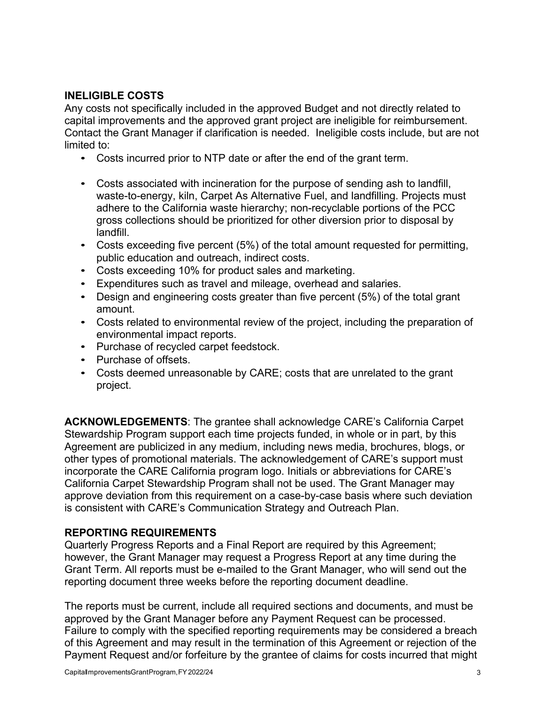# **INELIGIBLE COSTS**

Any costs not specifically included in the approved Budget and not directly related to capital improvements and the approved grant project are ineligible for reimbursement. Contact the Grant Manager if clarification is needed. Ineligible costs include, but are not limited to:

- Costs incurred prior to NTP date or after the end of the grant term.
- Costs associated with incineration for the purpose of sending ash to landfill, waste-to-energy, kiln, Carpet As Alternative Fuel, and landfilling. Projects must adhere to the California waste hierarchy; non-recyclable portions of the PCC gross collections should be prioritized for other diversion prior to disposal by landfill.
- Costs exceeding five percent (5%) of the total amount requested for permitting, public education and outreach, indirect costs.
- Costs exceeding 10% for product sales and marketing.
- Expenditures such as travel and mileage, overhead and salaries.
- Design and engineering costs greater than five percent (5%) of the total grant amount.
- Costs related to environmental review of the project, including the preparation of environmental impact reports.
- Purchase of recycled carpet feedstock.
- Purchase of offsets.
- Costs deemed unreasonable by CARE; costs that are unrelated to the grant project.

**ACKNOWLEDGEMENTS**: The grantee shall acknowledge CARE's California Carpet Stewardship Program support each time projects funded, in whole or in part, by this Agreement are publicized in any medium, including news media, brochures, blogs, or other types of promotional materials. The acknowledgement of CARE's support must incorporate the CARE California program logo. Initials or abbreviations for CARE's California Carpet Stewardship Program shall not be used. The Grant Manager may approve deviation from this requirement on a case-by-case basis where such deviation is consistent with CARE's Communication Strategy and Outreach Plan.

### **REPORTING REQUIREMENTS**

Quarterly Progress Reports and a Final Report are required by this Agreement; however, the Grant Manager may request a Progress Report at any time during the Grant Term. All reports must be e-mailed to the Grant Manager, who will send out the reporting document three weeks before the reporting document deadline.

The reports must be current, include all required sections and documents, and must be approved by the Grant Manager before any Payment Request can be processed. Failure to comply with the specified reporting requirements may be considered a breach of this Agreement and may result in the termination of this Agreement or rejection of the Payment Request and/or forfeiture by the grantee of claims for costs incurred that might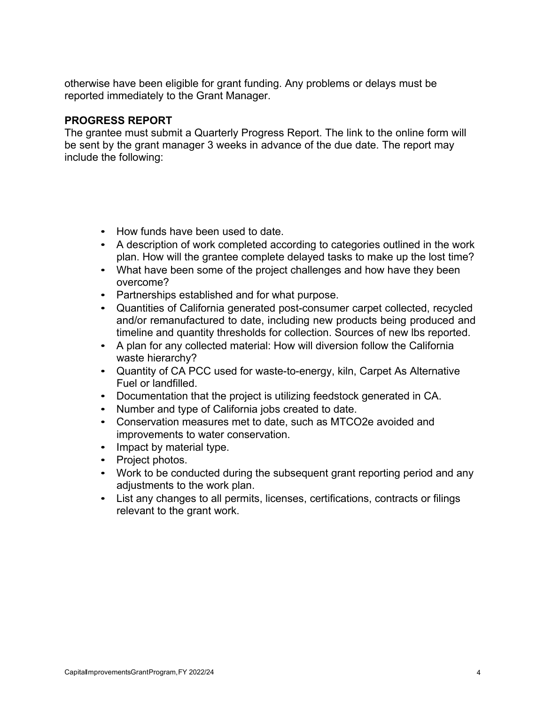otherwise have been eligible for grant funding. Any problems or delays must be reported immediately to the Grant Manager.

#### **PROGRESS REPORT**

The grantee must submit a Quarterly Progress Report. The link to the online form will be sent by the grant manager 3 weeks in advance of the due date. The report may include the following:

- How funds have been used to date.
- A description of work completed according to categories outlined in the work plan. How will the grantee complete delayed tasks to make up the lost time?
- What have been some of the project challenges and how have they been overcome?
- Partnerships established and for what purpose.
- Quantities of California generated post-consumer carpet collected, recycled and/or remanufactured to date, including new products being produced and timeline and quantity thresholds for collection. Sources of new lbs reported.
- A plan for any collected material: How will diversion follow the California waste hierarchy?
- Quantity of CA PCC used for waste-to-energy, kiln, Carpet As Alternative Fuel or landfilled.
- Documentation that the project is utilizing feedstock generated in CA.
- Number and type of California jobs created to date.
- Conservation measures met to date, such as MTCO2e avoided and improvements to water conservation.
- Impact by material type.
- Project photos.
- Work to be conducted during the subsequent grant reporting period and any adjustments to the work plan.
- List any changes to all permits, licenses, certifications, contracts or filings relevant to the grant work.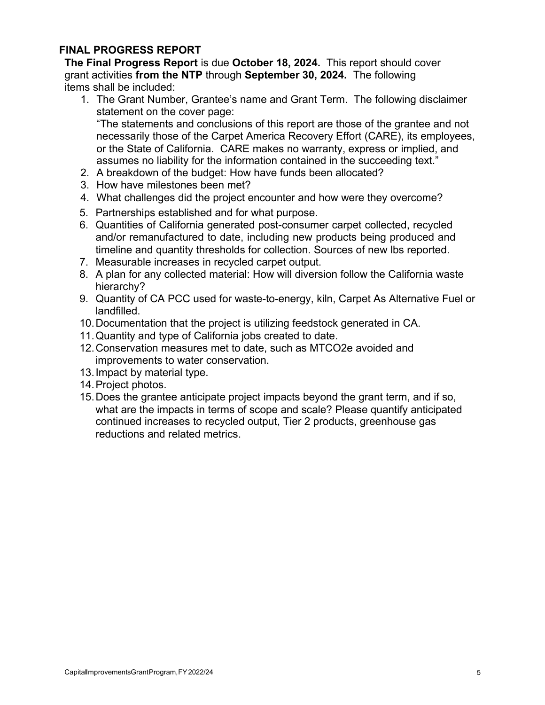### **FINAL PROGRESS REPORT**

**The Final Progress Report** is due **October 18, 2024.** This report should cover grant activities **from the NTP** through **September 30, 2024.** The following items shall be included:

1. The Grant Number, Grantee's name and Grant Term. The following disclaimer statement on the cover page:

"The statements and conclusions of this report are those of the grantee and not necessarily those of the Carpet America Recovery Effort (CARE), its employees, or the State of California. CARE makes no warranty, express or implied, and assumes no liability for the information contained in the succeeding text."

- 2. A breakdown of the budget: How have funds been allocated?
- 3. How have milestones been met?
- 4. What challenges did the project encounter and how were they overcome?
- 5. Partnerships established and for what purpose.
- 6. Quantities of California generated post-consumer carpet collected, recycled and/or remanufactured to date, including new products being produced and timeline and quantity thresholds for collection. Sources of new lbs reported.
- 7. Measurable increases in recycled carpet output.
- 8. A plan for any collected material: How will diversion follow the California waste hierarchy?
- 9. Quantity of CA PCC used for waste-to-energy, kiln, Carpet As Alternative Fuel or landfilled.
- 10.Documentation that the project is utilizing feedstock generated in CA.
- 11.Quantity and type of California jobs created to date.
- 12.Conservation measures met to date, such as MTCO2e avoided and improvements to water conservation.
- 13.Impact by material type.
- 14.Project photos.
- 15.Does the grantee anticipate project impacts beyond the grant term, and if so, what are the impacts in terms of scope and scale? Please quantify anticipated continued increases to recycled output, Tier 2 products, greenhouse gas reductions and related metrics.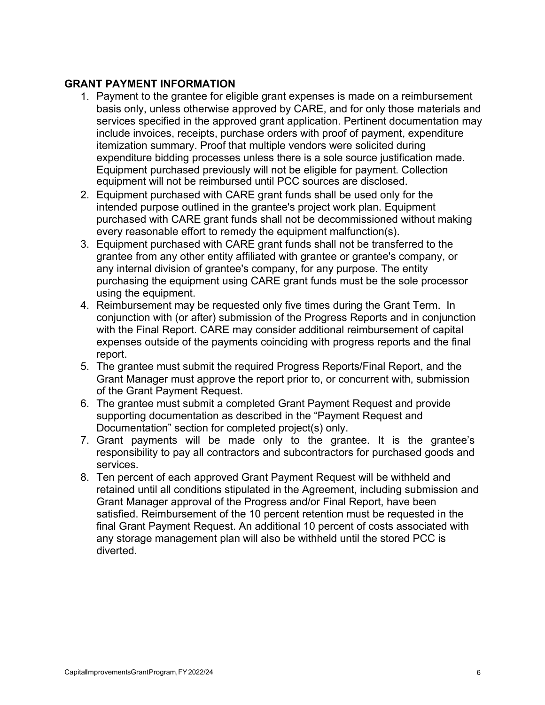### **GRANT PAYMENT INFORMATION**

- 1. Payment to the grantee for eligible grant expenses is made on a reimbursement basis only, unless otherwise approved by CARE, and for only those materials and services specified in the approved grant application. Pertinent documentation may include invoices, receipts, purchase orders with proof of payment, expenditure itemization summary. Proof that multiple vendors were solicited during expenditure bidding processes unless there is a sole source justification made. Equipment purchased previously will not be eligible for payment. Collection equipment will not be reimbursed until PCC sources are disclosed.
- 2. Equipment purchased with CARE grant funds shall be used only for the intended purpose outlined in the grantee's project work plan. Equipment purchased with CARE grant funds shall not be decommissioned without making every reasonable effort to remedy the equipment malfunction(s).
- 3. Equipment purchased with CARE grant funds shall not be transferred to the grantee from any other entity affiliated with grantee or grantee's company, or any internal division of grantee's company, for any purpose. The entity purchasing the equipment using CARE grant funds must be the sole processor using the equipment.
- 4. Reimbursement may be requested only five times during the Grant Term. In conjunction with (or after) submission of the Progress Reports and in conjunction with the Final Report. CARE may consider additional reimbursement of capital expenses outside of the payments coinciding with progress reports and the final report.
- 5. The grantee must submit the required Progress Reports/Final Report, and the Grant Manager must approve the report prior to, or concurrent with, submission of the Grant Payment Request.
- 6. The grantee must submit a completed Grant Payment Request and provide supporting documentation as described in the "Payment Request and Documentation" section for completed project(s) only.
- 7. Grant payments will be made only to the grantee. It is the grantee's responsibility to pay all contractors and subcontractors for purchased goods and services.
- 8. Ten percent of each approved Grant Payment Request will be withheld and retained until all conditions stipulated in the Agreement, including submission and Grant Manager approval of the Progress and/or Final Report, have been satisfied. Reimbursement of the 10 percent retention must be requested in the final Grant Payment Request. An additional 10 percent of costs associated with any storage management plan will also be withheld until the stored PCC is diverted.